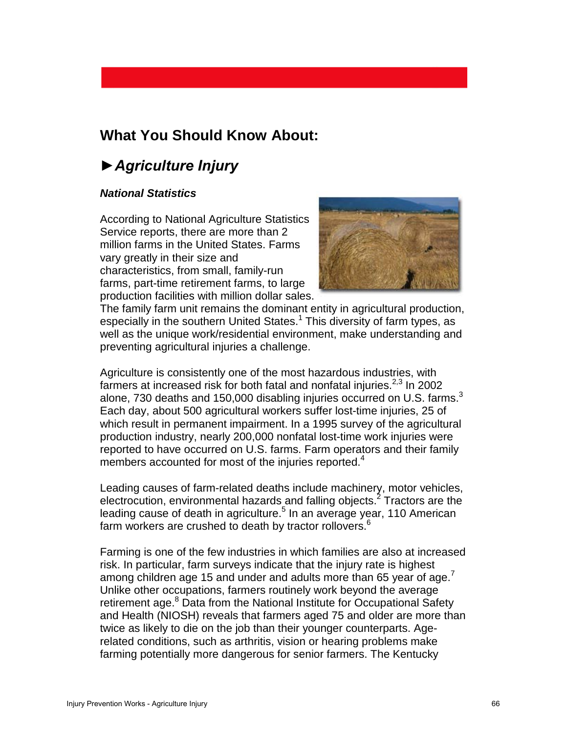# **What You Should Know About:**

# *►Agriculture Injury*

#### *National Statistics*

According to National Agriculture Statistics Service reports, there are more than 2 million farms in the United States. Farms vary greatly in their size and characteristics, from small, family-run farms, part-time retirement farms, to large production facilities with million dollar sales.



The family farm unit remains the dominant entity in agricultural production, especially in the southern United States.<sup>1</sup> This diversity of farm types, as well as the unique work/residential environment, make understanding and preventing agricultural injuries a challenge.

Agriculture is consistently one of the most hazardous industries, with farmers at increased risk for both fatal and nonfatal injuries. $2,3$  In 2002 alone, 730 deaths and 150,000 disabling injuries occurred on U.S. farms. $3$ Each day, about 500 agricultural workers suffer lost-time injuries, 25 of which result in permanent impairment. In a 1995 survey of the agricultural production industry, nearly 200,000 nonfatal lost-time work injuries were reported to have occurred on U.S. farms. Farm operators and their family members accounted for most of the injuries reported.<sup>4</sup>

Leading causes of farm-related deaths include machinery, motor vehicles, electrocution, environmental hazards and falling objects.<sup>2</sup> Tractors are the leading cause of death in agriculture.<sup>5</sup> In an average year, 110 American farm workers are crushed to death by tractor rollovers.<sup>6</sup>

Farming is one of the few industries in which families are also at increased risk. In particular, farm surveys indicate that the injury rate is highest among children age 15 and under and adults more than 65 year of age.<sup>7</sup> Unlike other occupations, farmers routinely work beyond the average retirement age.<sup>8</sup> Data from the National Institute for Occupational Safety and Health (NIOSH) reveals that farmers aged 75 and older are more than twice as likely to die on the job than their younger counterparts. Agerelated conditions, such as arthritis, vision or hearing problems make farming potentially more dangerous for senior farmers. The Kentucky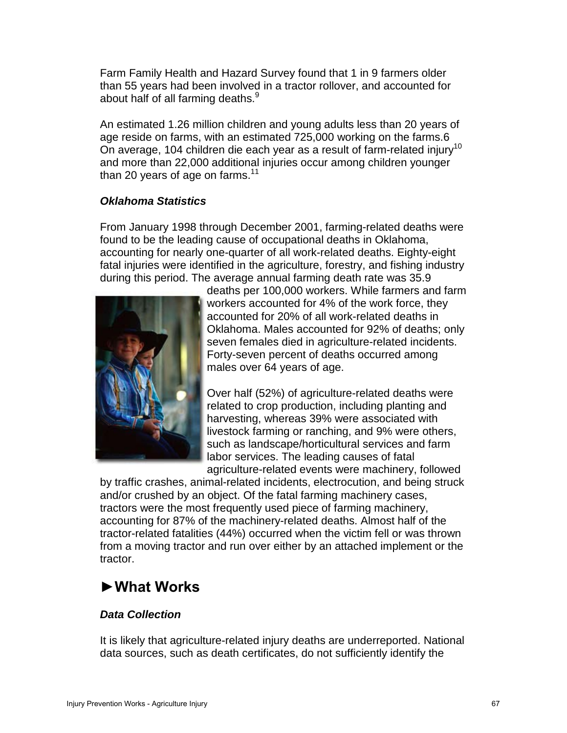Farm Family Health and Hazard Survey found that 1 in 9 farmers older than 55 years had been involved in a tractor rollover, and accounted for about half of all farming deaths.<sup>9</sup>

An estimated 1.26 million children and young adults less than 20 years of age reside on farms, with an estimated 725,000 working on the farms.6 On average, 104 children die each year as a result of farm-related injury<sup>10</sup> and more than 22,000 additional injuries occur among children younger than 20 years of age on farms. $11$ 

### *Oklahoma Statistics*

From January 1998 through December 2001, farming-related deaths were found to be the leading cause of occupational deaths in Oklahoma, accounting for nearly one-quarter of all work-related deaths. Eighty-eight fatal injuries were identified in the agriculture, forestry, and fishing industry during this period. The average annual farming death rate was 35.9



deaths per 100,000 workers. While farmers and farm workers accounted for 4% of the work force, they accounted for 20% of all work-related deaths in Oklahoma. Males accounted for 92% of deaths; only seven females died in agriculture-related incidents. Forty-seven percent of deaths occurred among males over 64 years of age.

Over half (52%) of agriculture-related deaths were related to crop production, including planting and harvesting, whereas 39% were associated with livestock farming or ranching, and 9% were others, such as landscape/horticultural services and farm labor services. The leading causes of fatal agriculture-related events were machinery, followed

by traffic crashes, animal-related incidents, electrocution, and being struck and/or crushed by an object. Of the fatal farming machinery cases, tractors were the most frequently used piece of farming machinery, accounting for 87% of the machinery-related deaths. Almost half of the tractor-related fatalities (44%) occurred when the victim fell or was thrown from a moving tractor and run over either by an attached implement or the tractor.

# **►What Works**

## *Data Collection*

It is likely that agriculture-related injury deaths are underreported. National data sources, such as death certificates, do not sufficiently identify the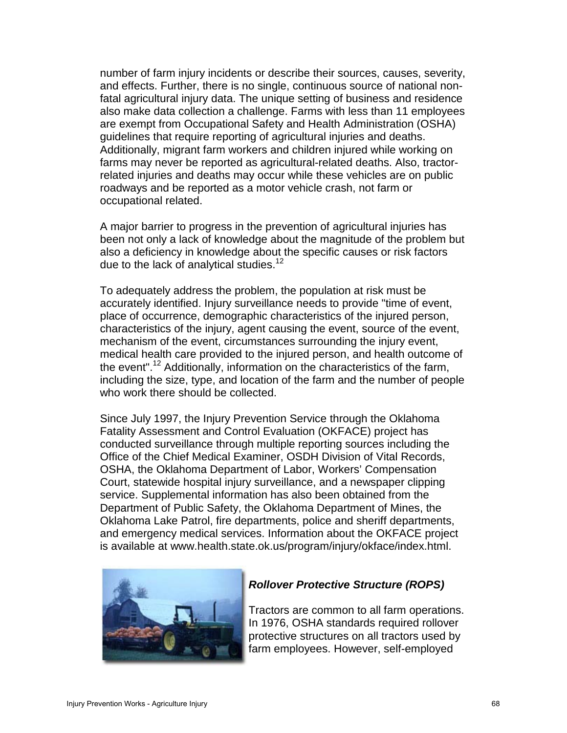number of farm injury incidents or describe their sources, causes, severity, and effects. Further, there is no single, continuous source of national nonfatal agricultural injury data. The unique setting of business and residence also make data collection a challenge. Farms with less than 11 employees are exempt from Occupational Safety and Health Administration (OSHA) guidelines that require reporting of agricultural injuries and deaths. Additionally, migrant farm workers and children injured while working on farms may never be reported as agricultural-related deaths. Also, tractorrelated injuries and deaths may occur while these vehicles are on public roadways and be reported as a motor vehicle crash, not farm or occupational related.

A major barrier to progress in the prevention of agricultural injuries has been not only a lack of knowledge about the magnitude of the problem but also a deficiency in knowledge about the specific causes or risk factors due to the lack of analytical studies.<sup>12</sup>

To adequately address the problem, the population at risk must be accurately identified. Injury surveillance needs to provide "time of event, place of occurrence, demographic characteristics of the injured person, characteristics of the injury, agent causing the event, source of the event, mechanism of the event, circumstances surrounding the injury event, medical health care provided to the injured person, and health outcome of the event".<sup>12</sup> Additionally, information on the characteristics of the farm, including the size, type, and location of the farm and the number of people who work there should be collected.

Since July 1997, the Injury Prevention Service through the Oklahoma Fatality Assessment and Control Evaluation (OKFACE) project has conducted surveillance through multiple reporting sources including the Office of the Chief Medical Examiner, OSDH Division of Vital Records, OSHA, the Oklahoma Department of Labor, Workers' Compensation Court, statewide hospital injury surveillance, and a newspaper clipping service. Supplemental information has also been obtained from the Department of Public Safety, the Oklahoma Department of Mines, the Oklahoma Lake Patrol, fire departments, police and sheriff departments, and emergency medical services. Information about the OKFACE project is available at www.health.state.ok.us/program/injury/okface/index.html.



#### *Rollover Protective Structure (ROPS)*

Tractors are common to all farm operations. In 1976, OSHA standards required rollover protective structures on all tractors used by farm employees. However, self-employed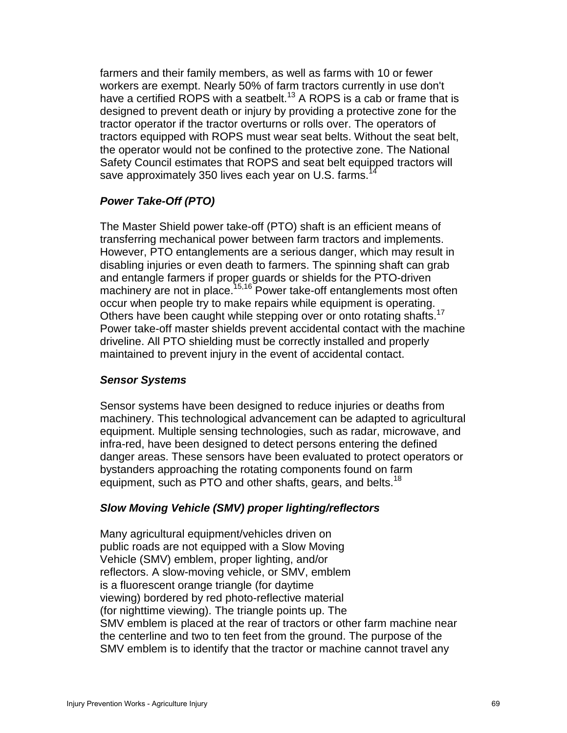farmers and their family members, as well as farms with 10 or fewer workers are exempt. Nearly 50% of farm tractors currently in use don't have a certified ROPS with a seatbelt.<sup>13</sup> A ROPS is a cab or frame that is designed to prevent death or injury by providing a protective zone for the tractor operator if the tractor overturns or rolls over. The operators of tractors equipped with ROPS must wear seat belts. Without the seat belt, the operator would not be confined to the protective zone. The National Safety Council estimates that ROPS and seat belt equipped tractors will save approximately 350 lives each year on U.S. farms.<sup>1</sup>

### *Power Take-Off (PTO)*

The Master Shield power take-off (PTO) shaft is an efficient means of transferring mechanical power between farm tractors and implements. However, PTO entanglements are a serious danger, which may result in disabling injuries or even death to farmers. The spinning shaft can grab and entangle farmers if proper guards or shields for the PTO-driven machinery are not in place.<sup>15,16</sup> Power take-off entanglements most often occur when people try to make repairs while equipment is operating. Others have been caught while stepping over or onto rotating shafts.<sup>17</sup> Power take-off master shields prevent accidental contact with the machine driveline. All PTO shielding must be correctly installed and properly maintained to prevent injury in the event of accidental contact.

### *Sensor Systems*

Sensor systems have been designed to reduce injuries or deaths from machinery. This technological advancement can be adapted to agricultural equipment. Multiple sensing technologies, such as radar, microwave, and infra-red, have been designed to detect persons entering the defined danger areas. These sensors have been evaluated to protect operators or bystanders approaching the rotating components found on farm equipment, such as PTO and other shafts, gears, and belts.<sup>18</sup>

### *Slow Moving Vehicle (SMV) proper lighting/reflectors*

Many agricultural equipment/vehicles driven on public roads are not equipped with a Slow Moving Vehicle (SMV) emblem, proper lighting, and/or reflectors. A slow-moving vehicle, or SMV, emblem is a fluorescent orange triangle (for daytime viewing) bordered by red photo-reflective material (for nighttime viewing). The triangle points up. The SMV emblem is placed at the rear of tractors or other farm machine near the centerline and two to ten feet from the ground. The purpose of the SMV emblem is to identify that the tractor or machine cannot travel any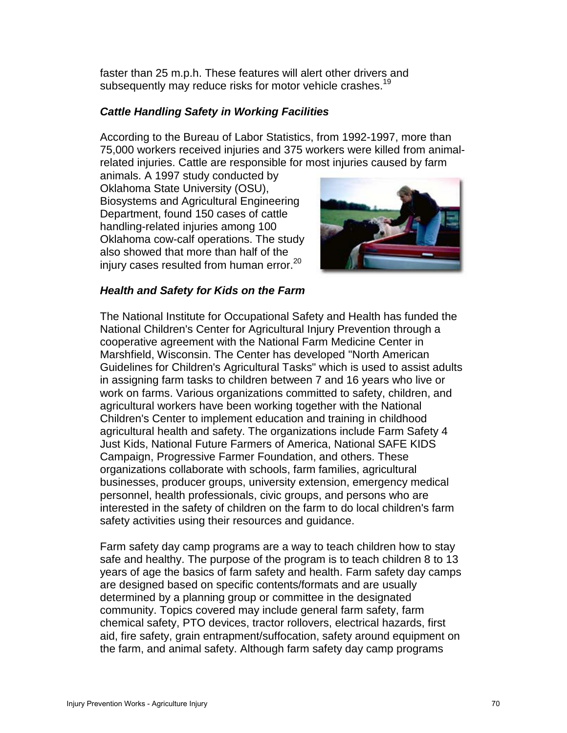faster than 25 m.p.h. These features will alert other drivers and subsequently may reduce risks for motor vehicle crashes.<sup>19</sup>

### *Cattle Handling Safety in Working Facilities*

According to the Bureau of Labor Statistics, from 1992-1997, more than 75,000 workers received injuries and 375 workers were killed from animalrelated injuries. Cattle are responsible for most injuries caused by farm

animals. A 1997 study conducted by Oklahoma State University (OSU), Biosystems and Agricultural Engineering Department, found 150 cases of cattle handling-related injuries among 100 Oklahoma cow-calf operations. The study also showed that more than half of the injury cases resulted from human error.<sup>20</sup>



#### *Health and Safety for Kids on the Farm*

The National Institute for Occupational Safety and Health has funded the National Children's Center for Agricultural Injury Prevention through a cooperative agreement with the National Farm Medicine Center in Marshfield, Wisconsin. The Center has developed "North American Guidelines for Children's Agricultural Tasks" which is used to assist adults in assigning farm tasks to children between 7 and 16 years who live or work on farms. Various organizations committed to safety, children, and agricultural workers have been working together with the National Children's Center to implement education and training in childhood agricultural health and safety. The organizations include Farm Safety 4 Just Kids, National Future Farmers of America, National SAFE KIDS Campaign, Progressive Farmer Foundation, and others. These organizations collaborate with schools, farm families, agricultural businesses, producer groups, university extension, emergency medical personnel, health professionals, civic groups, and persons who are interested in the safety of children on the farm to do local children's farm safety activities using their resources and guidance.

Farm safety day camp programs are a way to teach children how to stay safe and healthy. The purpose of the program is to teach children 8 to 13 years of age the basics of farm safety and health. Farm safety day camps are designed based on specific contents/formats and are usually determined by a planning group or committee in the designated community. Topics covered may include general farm safety, farm chemical safety, PTO devices, tractor rollovers, electrical hazards, first aid, fire safety, grain entrapment/suffocation, safety around equipment on the farm, and animal safety. Although farm safety day camp programs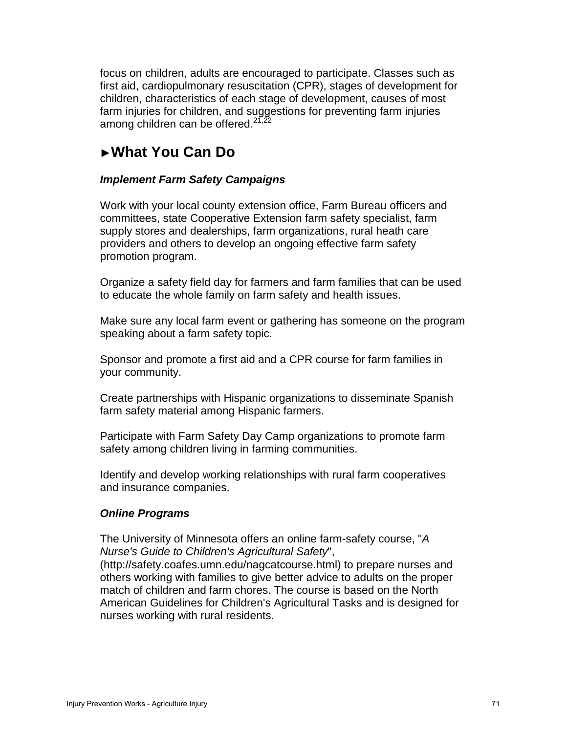focus on children, adults are encouraged to participate. Classes such as first aid, cardiopulmonary resuscitation (CPR), stages of development for children, characteristics of each stage of development, causes of most farm injuries for children, and suggestions for preventing farm injuries among children can be offered. $27,22$ 

# ►**What You Can Do**

### *Implement Farm Safety Campaigns*

Work with your local county extension office, Farm Bureau officers and committees, state Cooperative Extension farm safety specialist, farm supply stores and dealerships, farm organizations, rural heath care providers and others to develop an ongoing effective farm safety promotion program.

Organize a safety field day for farmers and farm families that can be used to educate the whole family on farm safety and health issues.

Make sure any local farm event or gathering has someone on the program speaking about a farm safety topic.

Sponsor and promote a first aid and a CPR course for farm families in your community.

Create partnerships with Hispanic organizations to disseminate Spanish farm safety material among Hispanic farmers.

Participate with Farm Safety Day Camp organizations to promote farm safety among children living in farming communities.

Identify and develop working relationships with rural farm cooperatives and insurance companies.

### *Online Programs*

The University of Minnesota offers an online farm-safety course, "*A Nurse's Guide to Children's Agricultural Safety*",

(http://safety.coafes.umn.edu/nagcatcourse.html) to prepare nurses and others working with families to give better advice to adults on the proper match of children and farm chores. The course is based on the North American Guidelines for Children's Agricultural Tasks and is designed for nurses working with rural residents.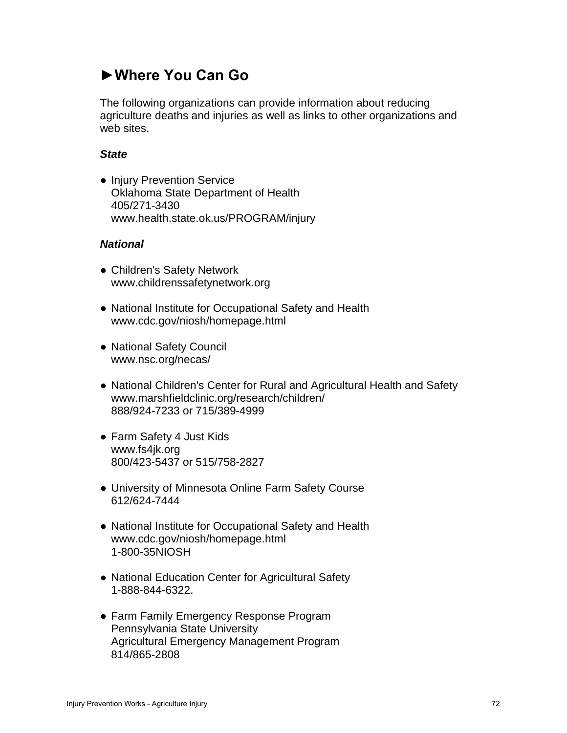# **►Where You Can Go**

The following organizations can provide information about reducing agriculture deaths and injuries as well as links to other organizations and web sites.

#### *State*

● Injury Prevention Service Oklahoma State Department of Health 405/271-3430 www.health.state.ok.us/PROGRAM/injury

#### *National*

- Children's Safety Network www.childrenssafetynetwork.org
- National Institute for Occupational Safety and Health www.cdc.gov/niosh/homepage.html
- National Safety Council www.nsc.org/necas/
- National Children's Center for Rural and Agricultural Health and Safety www.marshfieldclinic.org/research/children/ 888/924-7233 or 715/389-4999
- Farm Safety 4 Just Kids www.fs4jk.org 800/423-5437 or 515/758-2827
- University of Minnesota Online Farm Safety Course 612/624-7444
- National Institute for Occupational Safety and Health www.cdc.gov/niosh/homepage.html 1-800-35NIOSH
- National Education Center for Agricultural Safety 1-888-844-6322.
- Farm Family Emergency Response Program Pennsylvania State University Agricultural Emergency Management Program 814/865-2808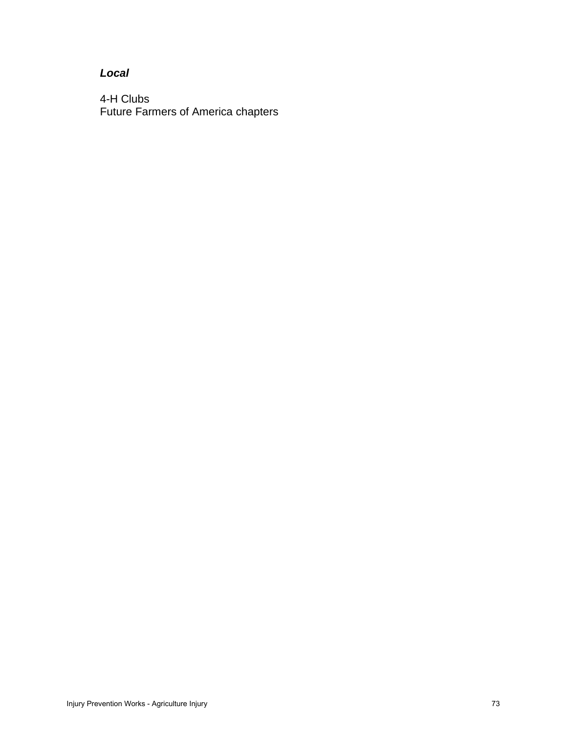## *Local*

4-H Clubs Future Farmers of America chapters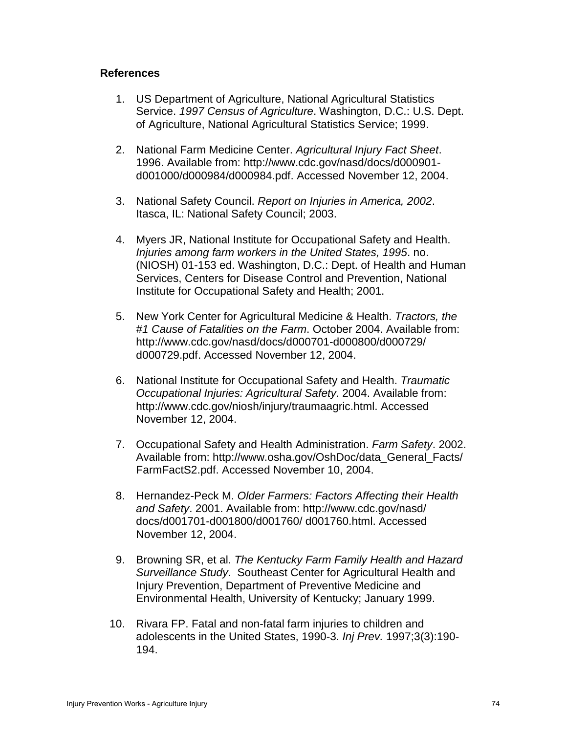#### **References**

- 1. US Department of Agriculture, National Agricultural Statistics Service. *1997 Census of Agriculture*. Washington, D.C.: U.S. Dept. of Agriculture, National Agricultural Statistics Service; 1999.
- 2. National Farm Medicine Center. *Agricultural Injury Fact Sheet*. 1996. Available from: http://www.cdc.gov/nasd/docs/d000901 d001000/d000984/d000984.pdf. Accessed November 12, 2004.
- 3. National Safety Council. *Report on Injuries in America, 2002*. Itasca, IL: National Safety Council; 2003.
- 4. Myers JR, National Institute for Occupational Safety and Health. *Injuries among farm workers in the United States, 1995*. no. (NIOSH) 01-153 ed. Washington, D.C.: Dept. of Health and Human Services, Centers for Disease Control and Prevention, National Institute for Occupational Safety and Health; 2001.
- 5. New York Center for Agricultural Medicine & Health. *Tractors, the #1 Cause of Fatalities on the Farm*. October 2004. Available from: http://www.cdc.gov/nasd/docs/d000701-d000800/d000729/ d000729.pdf. Accessed November 12, 2004.
- 6. National Institute for Occupational Safety and Health. *Traumatic Occupational Injuries: Agricultural Safety*. 2004. Available from: http://www.cdc.gov/niosh/injury/traumaagric.html. Accessed November 12, 2004.
- 7. Occupational Safety and Health Administration. *Farm Safety*. 2002. Available from: http://www.osha.gov/OshDoc/data\_General\_Facts/ FarmFactS2.pdf. Accessed November 10, 2004.
- 8. Hernandez-Peck M. *Older Farmers: Factors Affecting their Health and Safety*. 2001. Available from: http://www.cdc.gov/nasd/ docs/d001701-d001800/d001760/ d001760.html. Accessed November 12, 2004.
- 9. Browning SR, et al. *The Kentucky Farm Family Health and Hazard Surveillance Study*. Southeast Center for Agricultural Health and Injury Prevention, Department of Preventive Medicine and Environmental Health, University of Kentucky; January 1999.
- 10. Rivara FP. Fatal and non-fatal farm injuries to children and adolescents in the United States, 1990-3. *Inj Prev.* 1997;3(3):190- 194.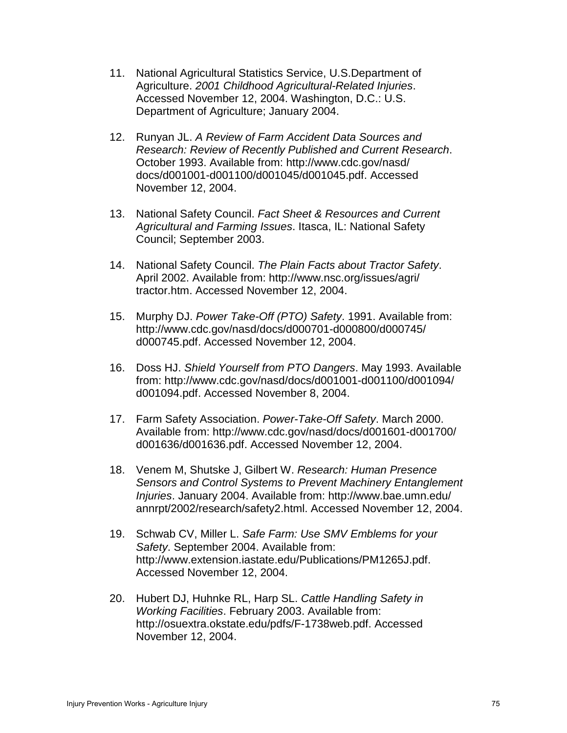- 11. National Agricultural Statistics Service, U.S.Department of Agriculture. *2001 Childhood Agricultural-Related Injuries*. Accessed November 12, 2004. Washington, D.C.: U.S. Department of Agriculture; January 2004.
- 12. Runyan JL. *A Review of Farm Accident Data Sources and Research: Review of Recently Published and Current Research*. October 1993. Available from: http://www.cdc.gov/nasd/ docs/d001001-d001100/d001045/d001045.pdf. Accessed November 12, 2004.
- 13. National Safety Council. *Fact Sheet & Resources and Current Agricultural and Farming Issues*. Itasca, IL: National Safety Council; September 2003.
- 14. National Safety Council. *The Plain Facts about Tractor Safety*. April 2002. Available from: http://www.nsc.org/issues/agri/ tractor.htm. Accessed November 12, 2004.
- 15. Murphy DJ. *Power Take-Off (PTO) Safety*. 1991. Available from: http://www.cdc.gov/nasd/docs/d000701-d000800/d000745/ d000745.pdf. Accessed November 12, 2004.
- 16. Doss HJ. *Shield Yourself from PTO Dangers*. May 1993. Available from: http://www.cdc.gov/nasd/docs/d001001-d001100/d001094/ d001094.pdf. Accessed November 8, 2004.
- 17. Farm Safety Association. *Power-Take-Off Safety*. March 2000. Available from: http://www.cdc.gov/nasd/docs/d001601-d001700/ d001636/d001636.pdf. Accessed November 12, 2004.
- 18. Venem M, Shutske J, Gilbert W. *Research: Human Presence Sensors and Control Systems to Prevent Machinery Entanglement Injuries*. January 2004. Available from: http://www.bae.umn.edu/ annrpt/2002/research/safety2.html. Accessed November 12, 2004.
- 19. Schwab CV, Miller L. *Safe Farm: Use SMV Emblems for your Safety*. September 2004. Available from: http://www.extension.iastate.edu/Publications/PM1265J.pdf. Accessed November 12, 2004.
- 20. Hubert DJ, Huhnke RL, Harp SL. *Cattle Handling Safety in Working Facilities*. February 2003. Available from: http://osuextra.okstate.edu/pdfs/F-1738web.pdf. Accessed November 12, 2004.